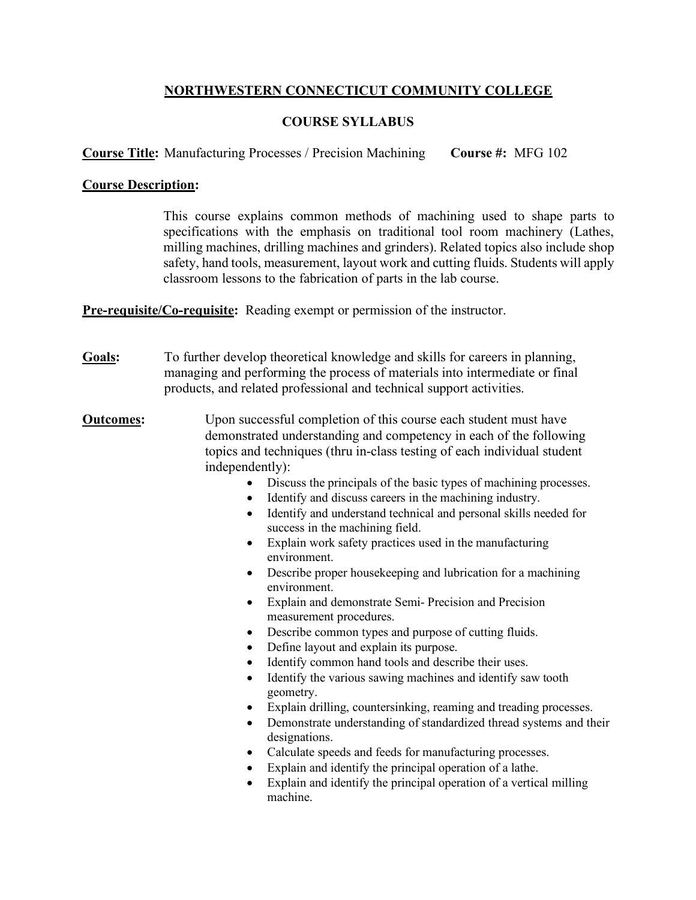## **NORTHWESTERN CONNECTICUT COMMUNITY COLLEGE**

## **COURSE SYLLABUS**

**Course Title:** Manufacturing Processes / Precision Machining **Course #:** MFG 102

## **Course Description:**

This course explains common methods of machining used to shape parts to specifications with the emphasis on traditional tool room machinery (Lathes, milling machines, drilling machines and grinders). Related topics also include shop safety, hand tools, measurement, layout work and cutting fluids. Students will apply classroom lessons to the fabrication of parts in the lab course.

**Pre-requisite/Co-requisite:** Reading exempt or permission of the instructor.

- **Goals:** To further develop theoretical knowledge and skills for careers in planning, managing and performing the process of materials into intermediate or final products, and related professional and technical support activities.
- **Outcomes:** Upon successful completion of this course each student must have demonstrated understanding and competency in each of the following topics and techniques (thru in-class testing of each individual student independently):
	- Discuss the principals of the basic types of machining processes.
	- Identify and discuss careers in the machining industry.
	- Identify and understand technical and personal skills needed for success in the machining field.
	- Explain work safety practices used in the manufacturing environment.
	- Describe proper house keeping and lubrication for a machining environment.
	- Explain and demonstrate Semi- Precision and Precision measurement procedures.
	- Describe common types and purpose of cutting fluids.
	- Define layout and explain its purpose.
	- Identify common hand tools and describe their uses.
	- Identify the various sawing machines and identify saw tooth geometry.
	- Explain drilling, countersinking, reaming and treading processes.
	- Demonstrate understanding of standardized thread systems and their designations.
	- Calculate speeds and feeds for manufacturing processes.
	- Explain and identify the principal operation of a lathe.
	- Explain and identify the principal operation of a vertical milling machine.